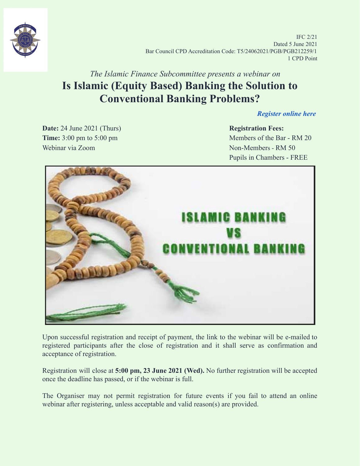

IFC 2/21 Dated 5 June 2021 Bar Council CPD Accreditation Code: T5/24062021/PGB/PGB212259/1 1 CPD Point

## *The Islamic Finance Subcommittee presents a webinar on* **Is Islamic (Equity Based) Banking the Solution to Conventional Banking Problems?**

*[Register online here](https://forms.gle/Yrur6P1MEzGAAn489)*

**Date:** 24 June 2021 (Thurs) **Registration Fees:** Webinar via Zoom Non-Members - RM 50

**Time:** 3:00 pm to 5:00 pm Pupils in Chambers - FREE



Upon successful registration and receipt of payment, the link to the webinar will be e-mailed to registered participants after the close of registration and it shall serve as confirmation and acceptance of registration.

Registration will close at **5:00 pm, 23 June 2021 (Wed).** No further registration will be accepted once the deadline has passed, or if the webinar is full.

The Organiser may not permit registration for future events if you fail to attend an online webinar after registering, unless acceptable and valid reason(s) are provided.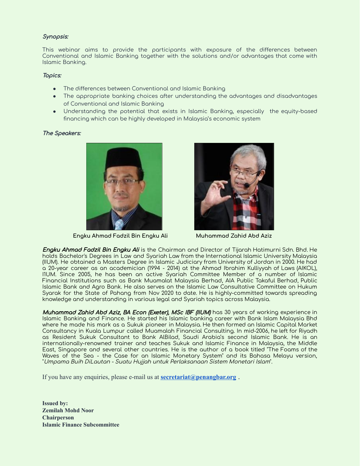### Synopsis:

This webinar aims to provide the participants with exposure of the differences between Conventional and Islamic Banking together with the solutions and/or advantages that come with Islamic Banking.

#### Topics:

- The differences between Conventional and Islamic Banking
- The appropriate banking choices after understanding the advantages and disadvantages of Conventional and Islamic Banking
- Understanding the potential that exists in Islamic Banking, especially the equity-based financing which can be highly developed in Malaysia's economic system

### The Speakers:



**Engku Ahmad Fadzil Bin Engku Ali Muhammad Zahid Abd Aziz**



Engku Ahmad Fadzil Bin Engku Ali is the Chairman and Director of Tijarah Hatimurni Sdn. Bhd. He holds Bachelor's Degrees in Law and Syariah Law from the International Islamic University Malaysia (IIUM). He obtained a Masters Degree in Islamic Judiciary from University of Jordan in 2000. He had a 20-year career as an academician (1994 - 2014) at the Ahmad Ibrahim Kulliyyah of Laws (AIKOL), IIUM. Since 2005, he has been an active Syariah Committee Member of a number of Islamic Financial Institutions such as Bank Muamalat Malaysia Berhad, AIA Public Takaful Berhad, Public Islamic Bank and Agro Bank. He also serves on the Islamic Law Consultative Committee on Hukum Syarak for the State of Pahang from Nov 2020 to date. He is highly-committed towards spreading knowledge and understanding in various legal and Syariah topics across Malaysia.

Muhammad Zahid Abd Aziz, BA Econ (Exeter), MSc IBF (IIUM) has 30 years of working experience in Islamic Banking and Finance. He started his Islamic banking career with Bank Islam Malaysia Bhd where he made his mark as a Sukuk pioneer in Malaysia. He then formed an Islamic Capital Market Consultancy in Kuala Lumpur called Muamalah Financial Consulting. In mid-2006, he left for Riyadh as Resident Sukuk Consultant to Bank AlBilad, Saudi Arabia's second Islamic Bank. He is an internationally-renowned trainer and teaches Sukuk and Islamic Finance in Malaysia, the Middle East, Singapore and several other countries. He is the author of a book titled "The Foams of the Waves of the Sea - the Case for an Islamic Monetary System" and its Bahasa Melayu version, "Umpama Buih DiLautan - Suatu Hujjah untuk Perlaksanaan Sistem Monetari Islam".

If you have any enquiries, please e-mail us at **[secretariat@penangbar.org](mailto:secretariat@penangbar.org)**.

**Issued by: Zemilah Mohd Noor Chairperson Islamic Finance Subcommittee**